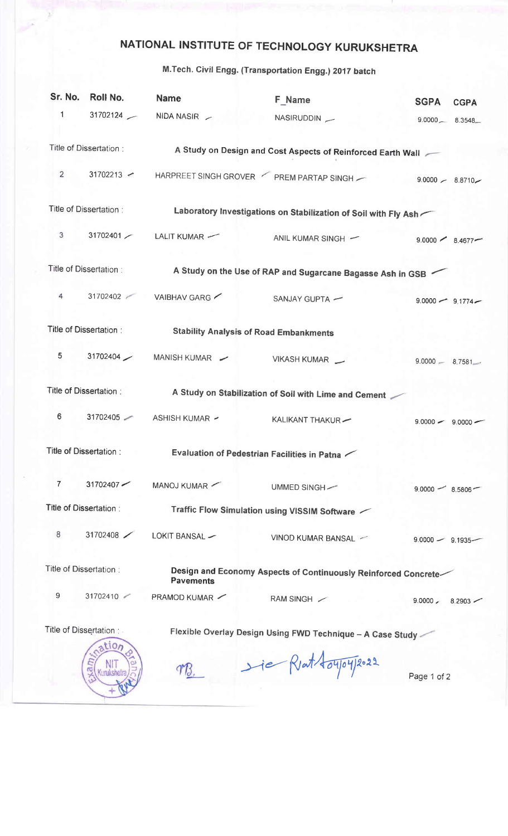## NATIONAL INSTITUTE OF TECHNOLOGY KURUKSHETRA

## M.Tech. Civil Engg. (Transportation Engg.) 201T batch

| Sr. No.                                                                                                       | Roll No.               | <b>Name</b>                                                     | <b>F_Name</b>                                             | <b>SGPA</b>         | <b>CGPA</b>     |  |  |  |
|---------------------------------------------------------------------------------------------------------------|------------------------|-----------------------------------------------------------------|-----------------------------------------------------------|---------------------|-----------------|--|--|--|
| 1                                                                                                             |                        | 31702124 - NIDA NASIR -                                         | NASIRUDDIN -                                              | $9.0000 - 8.3548 -$ |                 |  |  |  |
|                                                                                                               | Title of Dissertation: | A Study on Design and Cost Aspects of Reinforced Earth Wall     |                                                           |                     |                 |  |  |  |
| $\overline{2}$                                                                                                | $31702213$ $\sim$      |                                                                 | HARPREET SINGH GROVER FREM PARTAP SINGH - 9.0000 - 8.8710 |                     |                 |  |  |  |
| Title of Dissertation:                                                                                        |                        | Laboratory Investigations on Stabilization of Soil with Fly Ash |                                                           |                     |                 |  |  |  |
| 3                                                                                                             |                        | 31702401 / LALIT KUMAR /                                        | ANIL KUMAR SINGH -                                        | $9.0000 \t 8.4677$  |                 |  |  |  |
| Title of Dissertation:                                                                                        |                        | A Study on the Use of RAP and Sugarcane Bagasse Ash in GSB      |                                                           |                     |                 |  |  |  |
| 4                                                                                                             | 31702402               | VAIBHAV GARG                                                    | SANJAY GUPTA -                                            | $9.0000 - 9.1774 -$ |                 |  |  |  |
| Title of Dissertation:<br><b>Stability Analysis of Road Embankments</b>                                       |                        |                                                                 |                                                           |                     |                 |  |  |  |
| 5                                                                                                             | 31702404               | MANISH KUMAR                                                    | VIKASH KUMAR __                                           | $9.0000 - 8.7581$   |                 |  |  |  |
| Title of Dissertation :<br>A Study on Stabilization of Soil with Lime and Cement                              |                        |                                                                 |                                                           |                     |                 |  |  |  |
| 6                                                                                                             | 31702405               | ASHISH KUMAR ~                                                  | KALIKANT THAKUR-                                          | $9.0000 - 9.0000 -$ |                 |  |  |  |
| Title of Dissertation:<br>Evaluation of Pedestrian Facilities in Patna                                        |                        |                                                                 |                                                           |                     |                 |  |  |  |
| 7                                                                                                             | $31702407$ $\sim$      | MANOJ KUMAR                                                     | UMMED SINGH-                                              | $9.0000 - 8.5806$   |                 |  |  |  |
| Title of Dissertation :<br>Traffic Flow Simulation using VISSIM Software $\sim$                               |                        |                                                                 |                                                           |                     |                 |  |  |  |
| 8                                                                                                             | 31702408               | LOKIT BANSAL -                                                  | VINOD KUMAR BANSAL ~                                      | $9.0000 - 9.1935$ - |                 |  |  |  |
| Title of Dissertation:<br>Design and Economy Aspects of Continuously Reinforced Concrete-<br><b>Pavements</b> |                        |                                                                 |                                                           |                     |                 |  |  |  |
| 9                                                                                                             | 31702410               | PRAMOD KUMAR                                                    | RAM SINGH /                                               | $9.0000 \angle$     | $8.2903$ $\sim$ |  |  |  |
| Title of Dissertation:<br>Flexible Overlay Design Using FWD Technique - A Case Study -<br>tion                |                        |                                                                 |                                                           |                     |                 |  |  |  |
|                                                                                                               |                        |                                                                 | He Rent toyoy 2022                                        | Page 1 of 2         |                 |  |  |  |